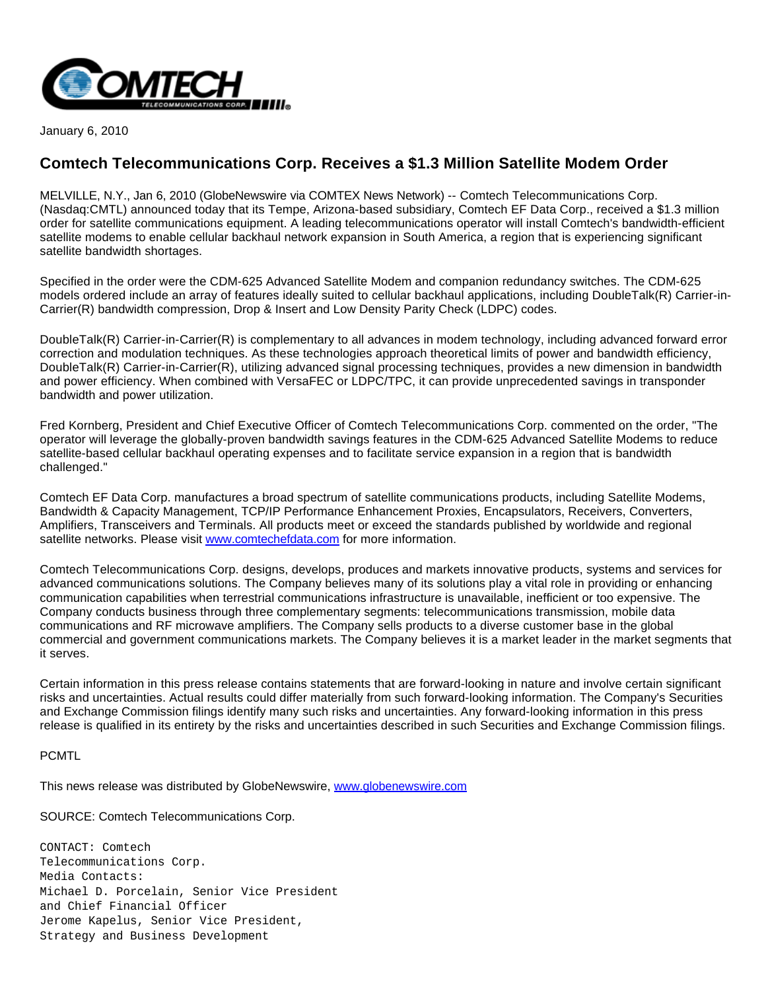

January 6, 2010

## **Comtech Telecommunications Corp. Receives a \$1.3 Million Satellite Modem Order**

MELVILLE, N.Y., Jan 6, 2010 (GlobeNewswire via COMTEX News Network) -- Comtech Telecommunications Corp. (Nasdaq:CMTL) announced today that its Tempe, Arizona-based subsidiary, Comtech EF Data Corp., received a \$1.3 million order for satellite communications equipment. A leading telecommunications operator will install Comtech's bandwidth-efficient satellite modems to enable cellular backhaul network expansion in South America, a region that is experiencing significant satellite bandwidth shortages.

Specified in the order were the CDM-625 Advanced Satellite Modem and companion redundancy switches. The CDM-625 models ordered include an array of features ideally suited to cellular backhaul applications, including DoubleTalk(R) Carrier-in-Carrier(R) bandwidth compression, Drop & Insert and Low Density Parity Check (LDPC) codes.

DoubleTalk(R) Carrier-in-Carrier(R) is complementary to all advances in modem technology, including advanced forward error correction and modulation techniques. As these technologies approach theoretical limits of power and bandwidth efficiency, DoubleTalk(R) Carrier-in-Carrier(R), utilizing advanced signal processing techniques, provides a new dimension in bandwidth and power efficiency. When combined with VersaFEC or LDPC/TPC, it can provide unprecedented savings in transponder bandwidth and power utilization.

Fred Kornberg, President and Chief Executive Officer of Comtech Telecommunications Corp. commented on the order, "The operator will leverage the globally-proven bandwidth savings features in the CDM-625 Advanced Satellite Modems to reduce satellite-based cellular backhaul operating expenses and to facilitate service expansion in a region that is bandwidth challenged."

Comtech EF Data Corp. manufactures a broad spectrum of satellite communications products, including Satellite Modems, Bandwidth & Capacity Management, TCP/IP Performance Enhancement Proxies, Encapsulators, Receivers, Converters, Amplifiers, Transceivers and Terminals. All products meet or exceed the standards published by worldwide and regional satellite networks. Please visit [www.comtechefdata.com](http://www.comtechefdata.com/) for more information.

Comtech Telecommunications Corp. designs, develops, produces and markets innovative products, systems and services for advanced communications solutions. The Company believes many of its solutions play a vital role in providing or enhancing communication capabilities when terrestrial communications infrastructure is unavailable, inefficient or too expensive. The Company conducts business through three complementary segments: telecommunications transmission, mobile data communications and RF microwave amplifiers. The Company sells products to a diverse customer base in the global commercial and government communications markets. The Company believes it is a market leader in the market segments that it serves.

Certain information in this press release contains statements that are forward-looking in nature and involve certain significant risks and uncertainties. Actual results could differ materially from such forward-looking information. The Company's Securities and Exchange Commission filings identify many such risks and uncertainties. Any forward-looking information in this press release is qualified in its entirety by the risks and uncertainties described in such Securities and Exchange Commission filings.

PCMTL

This news release was distributed by GlobeNewswire, [www.globenewswire.com](http://www.globenewswire.com/)

SOURCE: Comtech Telecommunications Corp.

CONTACT: Comtech Telecommunications Corp. Media Contacts: Michael D. Porcelain, Senior Vice President and Chief Financial Officer Jerome Kapelus, Senior Vice President, Strategy and Business Development